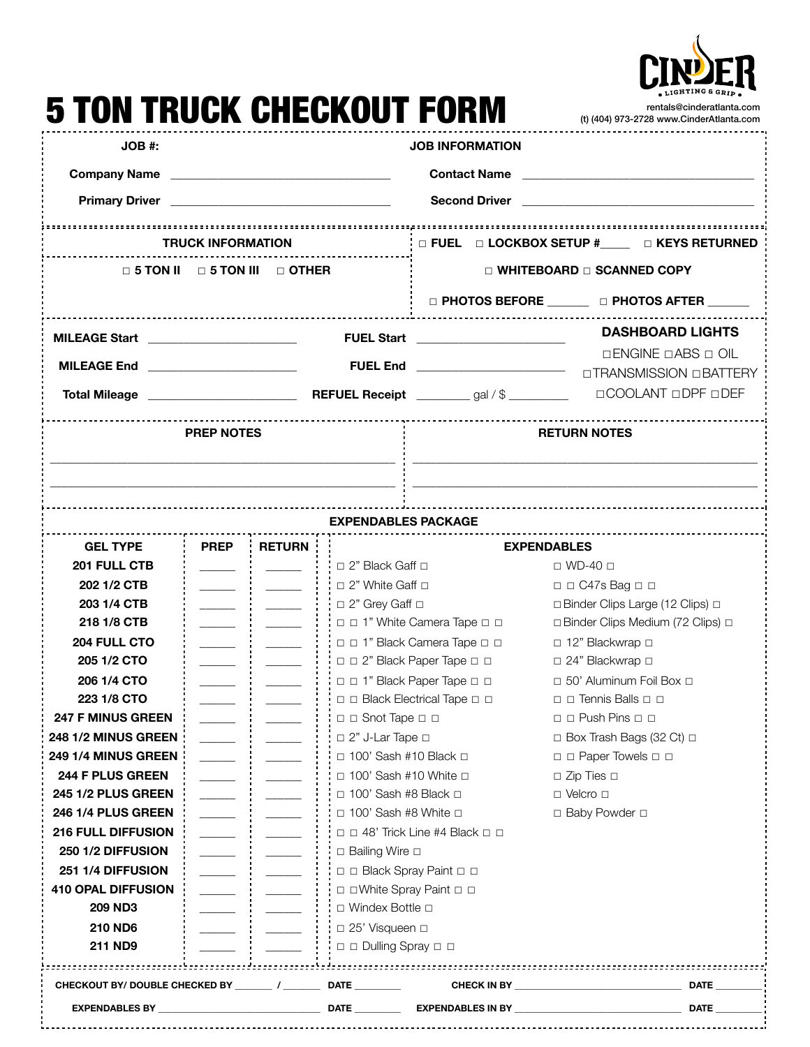

## 5 TON TRUCK CHECKOUT FORM rentals@cinderatlanta.com (t) (404) 973-2728 [www.CinderAtlanta.com](http://www.CinderAtlanta.com) **JOB #: JOB INFORMATION Company Name Company Name Company Name Contact Name Contact Name Contact Name Primary Driver Letter and Second Driver Constanting Second Driver Constanting Second Driver Constanting Second Driver TRUCK INFORMATION** ☐ **FUEL** ☐ **LOCKBOX SETUP #\_\_\_\_\_** ☐ **KEYS RETURNED** ☐ **5 TON II** ☐ **5 TON III** ☐ **OTHER** ☐ **WHITEBOARD** ☐ **SCANNED COPY** ☐ **PHOTOS BEFORE \_\_\_\_\_\_\_** ☐ **PHOTOS AFTER \_\_\_\_\_\_\_ MILEAGE Start** \_\_\_\_\_\_\_\_\_\_\_\_\_\_\_\_\_\_\_\_\_\_\_\_\_ **FUEL Start** \_\_\_\_\_\_\_\_\_\_\_\_\_\_\_\_\_\_\_\_\_\_\_\_\_ **DASHBOARD LIGHTS**  ☐ENGINE ☐ABS ☐ OIL **MILEAGE End \_\_\_\_\_\_\_\_\_\_\_\_\_\_\_\_\_\_\_\_\_\_\_\_\_\_ FUEL End \_\_\_\_\_\_\_\_\_\_\_\_\_\_\_\_\_\_\_\_\_\_\_\_\_\_\_** □TRANSMISSION □BATTERY ☐COOLANT ☐DPF ☐DEF **Total Mileage** \_\_\_\_\_\_\_\_\_\_\_\_\_\_\_\_\_\_\_\_\_\_\_\_\_ **REFUEL Receipt** \_\_\_\_\_\_\_\_\_ gal / \$ \_\_\_\_\_\_\_\_\_\_ **PREP NOTES RETURN NOTES \_\_\_\_\_\_\_\_\_\_\_\_\_\_\_\_\_\_\_\_\_\_\_\_\_\_\_\_\_\_\_\_\_\_\_\_\_\_\_\_\_\_\_\_\_\_\_\_\_\_\_\_\_\_\_\_\_\_ \_\_\_\_\_\_\_\_\_\_\_\_\_\_\_\_\_\_\_\_\_\_\_\_\_\_\_\_\_\_\_\_\_\_\_\_\_\_\_\_\_\_\_\_\_\_\_\_\_\_\_\_\_\_\_\_\_\_ \_\_\_\_\_\_\_\_\_\_\_\_\_\_\_\_\_\_\_\_\_\_\_\_\_\_\_\_\_\_\_\_\_\_\_\_\_\_\_\_\_\_\_\_\_\_\_\_\_\_\_\_\_\_\_\_\_\_ \_\_\_\_\_\_\_\_\_\_\_\_\_\_\_\_\_\_\_\_\_\_\_\_\_\_\_\_\_\_\_\_\_\_\_\_\_\_\_\_\_\_\_\_\_\_\_\_\_\_\_\_\_\_\_\_\_\_EXPENDABLES PACKAGE GEL TYPE PREP RETURN EXPENDABLES 201 FULL CTB \_\_\_\_\_\_ \_\_\_\_\_\_** ☐ 2" Black Gaff ☐ ☐ WD-40 ☐ **202 1/2 CTB decision is a constant of the Caff** □ **DEC47s Bag □ □ 203 1/4 CTB decision is a constant of the clips of a constant of the clips Clips Large (12 Clips) □ 218 1/8 CTB diagonal and in the Camera Tape □ □** □ **□Binder Clips Medium (72 Clips)** □ **204 FULL CTO \_\_\_\_\_\_ \_\_\_\_\_\_** ☐ ☐ 1" Black Camera Tape ☐ ☐ ☐ 12" Blackwrap ☐ **205 1/2 CTO i** <u>\_\_\_\_\_\_</u> **i i** □ □ <sup>2</sup> Black Paper Tape □ □ □ □ □ 24" Blackwrap □ **206 1/4 CTO dialy assumed as a contract of the set of the 1** in  $\Box$  1" Black Paper Tape □ □ □ □ □ 50' Aluminum Foil Box □ **223 1/8 CTO**  $\vdots$   $\vdots$   $\vdots$   $\Box$  □ Black Electrical Tape □ □ ◯ ◯ ¯ Tennis Balls □ □ **247 F MINUS GREEN decision and the set of the solution of the Snot Tape □ □ 248 1/2 MINUS GREEN**  $\vdots$   $\vdots$   $\vdots$   $\vdots$   $\vdots$   $\vdots$   $\vdots$   $\vdots$   $\vdots$   $\vdots$   $\vdots$   $\vdots$   $\vdots$   $\vdots$   $\vdots$   $\vdots$   $\vdots$   $\vdots$   $\vdots$   $\vdots$   $\vdots$   $\vdots$   $\vdots$   $\vdots$   $\vdots$   $\vdots$   $\vdots$   $\vdots$   $\vdots$   $\vdots$   $\vdots$   $\vdots$   $\vdots$  **249 1/4 MINUS GREEN \_\_\_\_\_\_ \_\_\_\_\_\_** ☐ 100' Sash #10 Black ☐ ☐ ☐ Paper Towels ☐ ☐ **244 F PLUS GREEN being a contract of the set of the interval a**  $\vdots$  interval in  $\vdots$  in  $\vdots$  in  $\vdots$  in  $\vdots$  in  $\vdots$  in  $\vdots$  in  $\vdots$  in  $\vdots$  in  $\vdots$  in  $\vdots$  in  $\vdots$  in  $\vdots$  in  $\vdots$  in  $\vdots$  in  $\vdots$  in **245 1/2 PLUS GREEN \_\_\_\_\_\_ \_\_\_\_\_\_** ☐ 100' Sash #8 Black ☐ ☐ Velcro ☐ **246 1/4 PLUS GREEN i let us i let us i let us** 100' Sash #8 White □ Baby Powder □ **216 FULL DIFFUSION** *Letter and a letter and a letter and a letter a* **letter and a letter and <b>a** letter and **c 250 1/2 DIFFUSION :** \_\_\_\_\_ **:** \_\_\_\_\_ **:**  $\qquad$  **: □** Bailing Wire □ **251 1/4 DIFFUSION :** \_\_\_\_\_ **:** \_\_\_\_\_ **: :** □ □ Black Spray Paint □ □ **410 OPAL DIFFUSION i**  $\vdots$  **l l** □ □ White Spray Paint □ □ **209 ND3 diameters diameters diameters i i u** Windex Bottle □ **210 ND6 \_\_\_\_\_\_ \_\_\_\_\_\_** ☐ 25' Visqueen ☐ **211 ND9 i** <u>\_\_\_\_\_</u> **i** \_\_\_\_\_\_ **i** i □ □ Dulling Spray □ □ **CHECKOUT BY/ DOUBLE CHECKED BY \_\_\_\_\_\_\_\_ / \_\_\_\_\_\_\_\_ DATE \_\_\_\_\_\_\_\_\_\_ CHECK IN BY \_\_\_\_\_\_\_\_\_\_\_\_\_\_\_\_\_\_\_\_\_\_\_\_\_\_\_\_\_\_\_\_\_\_\_\_ DATE \_\_\_\_\_\_\_\_\_\_**

**EXPENDABLES BY \_\_\_\_\_\_\_\_\_\_\_\_\_\_\_\_\_\_\_\_\_\_\_\_\_\_\_\_\_\_\_\_\_\_\_ DATE \_\_\_\_\_\_\_\_\_\_ EXPENDABLES IN BY \_\_\_\_\_\_\_\_\_\_\_\_\_\_\_\_\_\_\_\_\_\_\_\_\_\_\_\_\_\_\_\_\_\_\_\_ DATE \_\_\_\_\_\_\_\_\_\_**